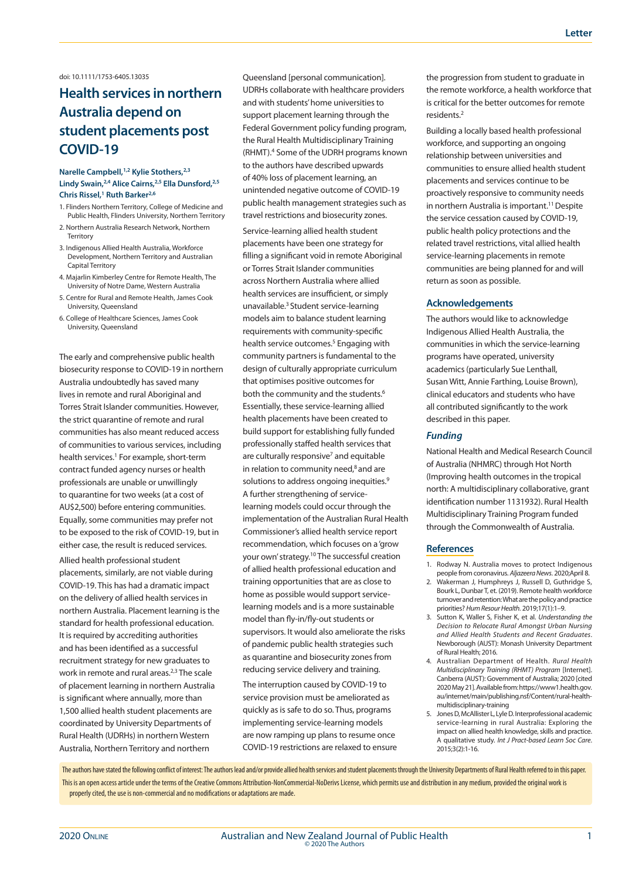## doi: 10.1111/1753-6405.13035

# **Health services in northern Australia depend on student placements post COVID-19**

## **Narelle Campbell,1,2 Kylie Stothers,2,3 Lindy Swain,2,4 Alice Cairns,2,5 Ella Dunsford,2,5 Chris Rissel,1 Ruth Barker2,6**

- 1. Flinders Northern Territory, College of Medicine and Public Health, Flinders University, Northern Territory
- 2. Northern Australia Research Network, Northern Territory
- 3. Indigenous Allied Health Australia, Workforce Development, Northern Territory and Australian Capital Territory
- 4. Majarlin Kimberley Centre for Remote Health, The University of Notre Dame, Western Australia
- 5. Centre for Rural and Remote Health, James Cook University, Queensland
- 6. College of Healthcare Sciences, James Cook University, Queensland

The early and comprehensive public health biosecurity response to COVID-19 in northern Australia undoubtedly has saved many lives in remote and rural Aboriginal and Torres Strait Islander communities. However, the strict quarantine of remote and rural communities has also meant reduced access of communities to various services, including health services.<sup>1</sup> For example, short-term contract funded agency nurses or health professionals are unable or unwillingly to quarantine for two weeks (at a cost of AU\$2,500) before entering communities. Equally, some communities may prefer not to be exposed to the risk of COVID-19, but in either case, the result is reduced services.

Allied health professional student placements, similarly, are not viable during COVID-19. This has had a dramatic impact on the delivery of allied health services in northern Australia. Placement learning is the standard for health professional education. It is required by accrediting authorities and has been identified as a successful recruitment strategy for new graduates to work in remote and rural areas.<sup>2,3</sup> The scale of placement learning in northern Australia is significant where annually, more than 1,500 allied health student placements are coordinated by University Departments of Rural Health (UDRHs) in northern Western Australia, Northern Territory and northern

Queensland [personal communication]. UDRHs collaborate with healthcare providers and with students' home universities to support placement learning through the Federal Government policy funding program, the Rural Health Multidisciplinary Training (RHMT).4 Some of the UDRH programs known to the authors have described upwards of 40% loss of placement learning, an unintended negative outcome of COVID-19 public health management strategies such as travel restrictions and biosecurity zones.

Service-learning allied health student placements have been one strategy for filling a significant void in remote Aboriginal or Torres Strait Islander communities across Northern Australia where allied health services are insufficient, or simply unavailable.3 Student service-learning models aim to balance student learning requirements with community-specific health service outcomes.<sup>5</sup> Engaging with community partners is fundamental to the design of culturally appropriate curriculum that optimises positive outcomes for both the community and the students.<sup>6</sup> Essentially, these service-learning allied health placements have been created to build support for establishing fully funded professionally staffed health services that are culturally responsive<sup>7</sup> and equitable in relation to community need, $8$  and are solutions to address ongoing inequities.<sup>9</sup> A further strengthening of servicelearning models could occur through the implementation of the Australian Rural Health Commissioner's allied health service report recommendation, which focuses on a 'grow your own' strategy.10 The successful creation of allied health professional education and training opportunities that are as close to home as possible would support servicelearning models and is a more sustainable model than fly-in/fly-out students or supervisors. It would also ameliorate the risks of pandemic public health strategies such as quarantine and biosecurity zones from reducing service delivery and training.

The interruption caused by COVID-19 to service provision must be ameliorated as quickly as is safe to do so. Thus, programs implementing service-learning models are now ramping up plans to resume once COVID-19 restrictions are relaxed to ensure the progression from student to graduate in the remote workforce, a health workforce that is critical for the better outcomes for remote residents.2

Building a locally based health professional workforce, and supporting an ongoing relationship between universities and communities to ensure allied health student placements and services continue to be proactively responsive to community needs in northern Australia is important.<sup>11</sup> Despite the service cessation caused by COVID-19, public health policy protections and the related travel restrictions, vital allied health service-learning placements in remote communities are being planned for and will return as soon as possible.

#### **Acknowledgements**

The authors would like to acknowledge Indigenous Allied Health Australia, the communities in which the service-learning programs have operated, university academics (particularly Sue Lenthall, Susan Witt, Annie Farthing, Louise Brown), clinical educators and students who have all contributed significantly to the work described in this paper.

### *Funding*

National Health and Medical Research Council of Australia (NHMRC) through Hot North (Improving health outcomes in the tropical north: A multidisciplinary collaborative, grant identification number 1131932). Rural Health Multidisciplinary Training Program funded through the Commonwealth of Australia.

#### **References**

- 1. Rodway N. Australia moves to protect Indigenous people from coronavirus. *Aljazeera News*. 2020;April 8.
- 2. Wakerman J, Humphreys J, Russell D, Guthridge S, Bourk L, Dunbar T, et. (2019). Remote health workforce turnover and retention: What are the policy and practice priorities? *Hum Resour Health.* 2019;17(1):1–9.
- 3. Sutton K, Waller S, Fisher K, et al. *Understanding the Decision to Relocate Rural Amongst Urban Nursing and Allied Health Students and Recent Graduates*. Newborough (AUST): Monash University Department of Rural Health; 2016.
- 4. Australian Department of Health. *Rural Health Multidisciplinary Training (RHMT) Program* [Internet]. Canberra (AUST): Government of Australia; 2020 [cited 2020 May 21]. Available from: https://www1.health.gov. au/internet/main/publishing.nsf/Content/rural-healthmultidisciplinary-training
- 5. Jones D, McAllister L, Lyle D. Interprofessional academic service-learning in rural Australia: Exploring the impact on allied health knowledge, skills and practice. A qualitative study. *Int J Pract-based Learn Soc Care*. 2015;3(2):1-16.

The authors have stated the following conflict of interest: The authors lead and/or provide allied health services and student placements through the University Departments of Rural Health referred to in this paper. This is an open access article under the terms of the Creative Commons Attribution-NonCommercial-NoDerivs License, which permits use and distribution in any medium, provided the original work is properly cited, the use is non-commercial and no modifications or adaptations are made.